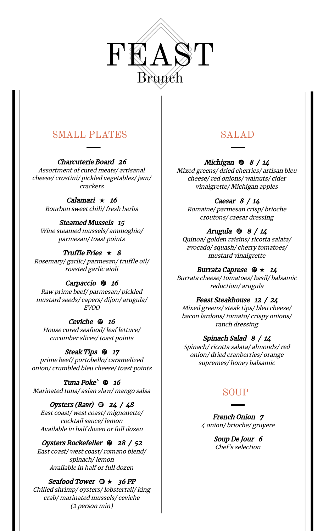

# SMALL PLATES

Charcuterie Board 26 Assortment of cured meats/ artisanal cheese/ crostini/ pickled vegetables/ jam/ crackers

> Calamari  $\star$  16 Bourbon sweet chili/ fresh herbs

Steamed Mussels 15 Wine steamed mussels/ ammoghio/ parmesan/ toast points

Truffle Fries  $\star$  8 Rosemary/ garlic/ parmesan/ truffle oil/ roasted garlic aioli

Carpaccio **to** 16 Raw prime beef/ parmesan/ pickled mustard seeds/ capers/ dijon/ arugula/ EVOO

Ceviche ® 16 House cured seafood/ leaf lettuce/ cucumber slices/ toast points

Steak Tips **17** prime beef/ portobello/ caramelized onion/ crumbled bleu cheese/ toast points

Tuna Poke<sup>'</sup> **there** 16 Marinated tuna/ asian slaw/ mango salsa

Oysters (Raw)  $\omega$  24 / 48 East coast/ west coast/ mignonette/ cocktail sauce/ lemon Available in half dozen or full dozen

Oysters Rockefeller **to** 28 / 52 East coast/ west coast/ romano blend/ spinach/ lemon Available in half or full dozen

Seafood Tower  $\mathbf{\Theta} \star 36 PP$ Chilled shrimp/ oysters/ lobstertail/ king crab/ marinated mussels/ ceviche (2 person min)

# SALAD

Michigan  $\oplus$  8 / 14 Mixed greens/ dried cherries/ artisan bleu cheese/ red onions/ walnuts/ cider vinaigrette/ Michigan apples

Caesar 8 / 14 Romaine/ parmesan crisp/ brioche croutons/ caesar dressing

Arugula  $\oplus$  8 / 14 Quinoa/ golden raisins/ ricotta salata/ avocado/ squash/ cherry tomatoes/ mustard vinaigrette

Burrata Caprese  $\mathbf{\Phi} \star 14$ Burrata cheese/ tomatoes/ basil/ balsamic reduction/ arugula

Feast Steakhouse <sup>12</sup> / 24 Mixed greens/ steak tips/ bleu cheese/ bacon lardons/ tomato/ crispy onions/ ranch dressing

Spinach Salad 8 / 14 Spinach/ ricotta salata/ almonds/ red onion/ dried cranberries/ orange supremes/ honey balsamic

# SOUP

French Onion 7 4 onion/ brioche/ gruyere

> Soup De Jour 6 Chef's selection